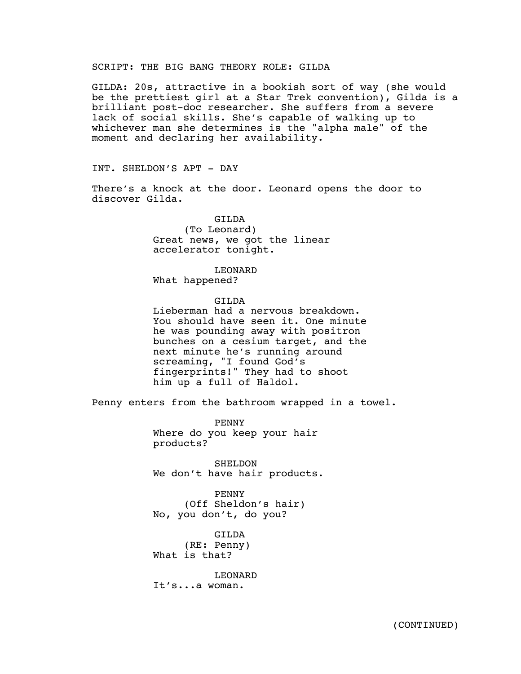## SCRIPT: THE BIG BANG THEORY ROLE: GILDA

GILDA: 20s, attractive in a bookish sort of way (she would be the prettiest girl at a Star Trek convention), Gilda is a brilliant post-doc researcher. She suffers from a severe lack of social skills. She's capable of walking up to whichever man she determines is the "alpha male" of the moment and declaring her availability.

INT. SHELDON'S APT - DAY

There's a knock at the door. Leonard opens the door to discover Gilda.

> GILDA (To Leonard) Great news, we got the linear accelerator tonight.

> > LEONARD

What happened?

GILDA

Lieberman had a nervous breakdown. You should have seen it. One minute he was pounding away with positron bunches on a cesium target, and the next minute he's running around screaming, "I found God's fingerprints!" They had to shoot him up a full of Haldol.

Penny enters from the bathroom wrapped in a towel.

PENNY Where do you keep your hair products?

SHELDON We don't have hair products.

PENNY (Off Sheldon's hair) No, you don't, do you?

GILDA (RE: Penny) What is that?

LEONARD It's...a woman.